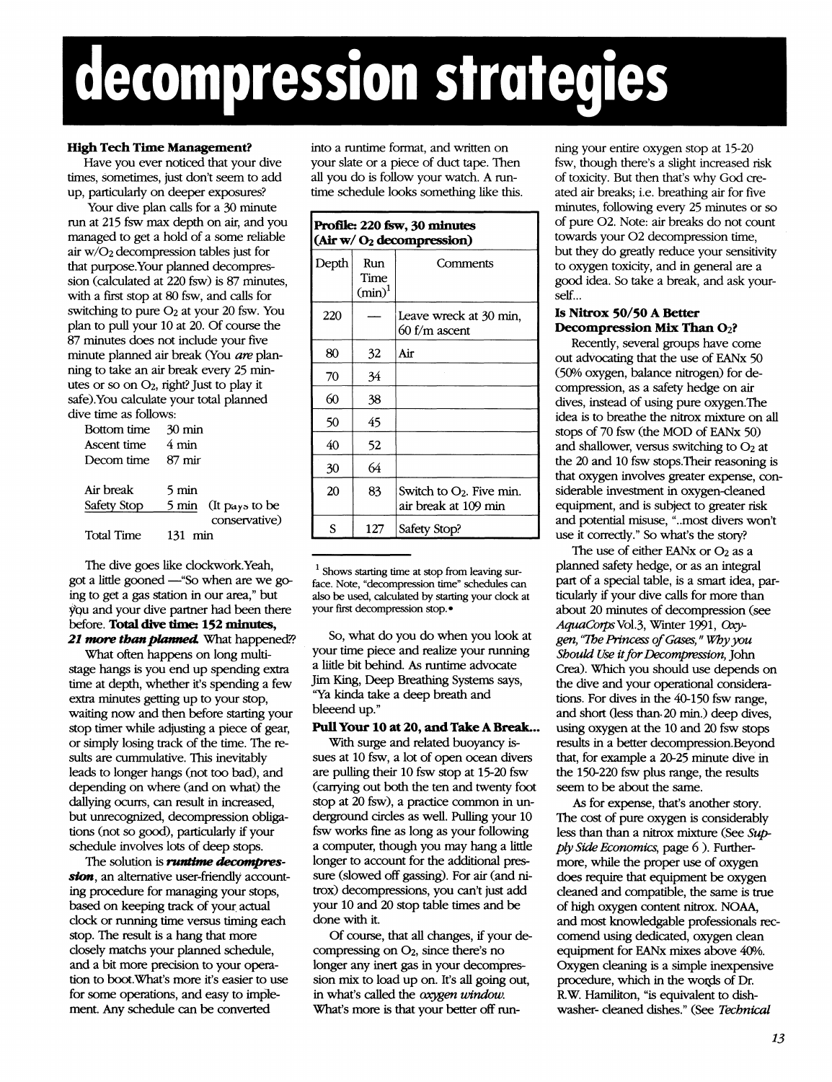# **decompression strategies**

#### **High Tech Time Management?**

Have you ever noticed that your dive times, sometimes, just don't seem to add up, particularly on deeper exposures?

Your dive plan calls for a 30 minute run at 215 fsw max depth on air, and you managed to get a hold of a some reliable air W/O2 decompression tables just for that purpose.Your planned decompression (calculated at 220 fsw) is 87 minutes, with a first stop at 80 fsw, and calls for switching to pure  $O<sub>2</sub>$  at your 20 fsw. You plan to pull your 10 at 20. Of course the 87 minutes does not include your five minute planned air break (You *are* planning to take an air break every 25 minutes or so on O2, right? Just to play it safe).You calculate your total planned dive time as follows:

| <b>Bottom</b> time | – 30 min             |
|--------------------|----------------------|
| Ascent time        | 4 min                |
| Decom time         | - 87 mir             |
|                    |                      |
| Air break          | 5 min                |
| Safety Stop        | 5 min (It pays to be |
|                    | conservative)        |
| <b>Total Time</b>  | 131 min              |
|                    |                      |

The dive goes like clockwork.Yeah, got a little gooned —"So when are we going to get a gas station in our area," but you and your dive partner had been there before. **Total dive time: 152 minutes,** *21 more thanplanned.* What happened??

What often happens on long multistage hangs is you end up spending extra time at depth, whether it's spending a few extra minutes getting up to your stop, waiting now and then before starting your stop timer while adjusting a piece of gear, or simply losing track of the time. The results are cummulative. This inevitably leads to longer hangs (not too bad), and depending on where (and on what) the dallying ocurrs, can result in increased, but unrecognized, decompression obligations (not so good), particularly if your schedule involves lots of deep stops.

The solution is *runtime decompression,* an alternative user-friendly accounting procedure for managing your stops, based on keeping track of your actual clock or running time versus timing each stop. The result is a hang that more closely matchs your planned schedule, and a bit more precision to your operation to boot.What's more it's easier to use for some operations, and easy to implement. Any schedule can be converted

into a runtime format, and written on your slate or a piece of duct tape. Then all you do is follow your watch. A runtime schedule looks something like this.

| Profile: 220 fsw, 30 minutes<br>(Air w/O <sub>2</sub> decomposition) |                          |                                                     |  |
|----------------------------------------------------------------------|--------------------------|-----------------------------------------------------|--|
| Depth                                                                | Run<br>Time<br>$(min)^1$ | Comments                                            |  |
| 220                                                                  |                          | Leave wreck at 30 min,<br>60 f/m ascent             |  |
| 80                                                                   | 32                       | Air                                                 |  |
| 70                                                                   | 34                       |                                                     |  |
| 60                                                                   | 38                       |                                                     |  |
| 50                                                                   | 45                       |                                                     |  |
| 40                                                                   | 52                       |                                                     |  |
| 30                                                                   | 64                       |                                                     |  |
| 20                                                                   | 83                       | Switch to $O_2$ . Five min.<br>air break at 109 min |  |
| S                                                                    | 127                      | Safety Stop?                                        |  |

 $<sup>1</sup>$  Shows starting time at stop from leaving sur-</sup> face. Note, "decompression time" schedules can also be used, calculated by starting your clock at your first decompression stop.

So, what do you do when you look at your time piece and realize your running a liitle bit behind. As runtime advocate Jim King, Deep Breathing Systems says, 'Ya kinda take a deep breath and bleeend up."

#### **PullYour 10 at 20, andTake A Break...**

With surge and related buoyancy issues at 10 fsw, a lot of open ocean divers are pulling their 10 fsw stop at 15-20 fsw (carrying out both the ten and twenty foot stop at 20 fsw), a practice common in underground circles as well. Pulling your 10 fsw works fine as long as your following a computer, though you may hang a little longer to account for the additional pressure (slowed off gassing). For air (and nitrox) decompressions, you can't just add your 10 and 20 stop table times and be done with it.

Of course, that all changes, if your decompressing on O2, since there's no longer any inert gas in your decompression mix to load up on. It's all going out, in what's called the *oxygen window.* What's more is that your better off running your entire oxygen stop at 15-20 fsw, though there's a slight increased risk of toxicity. But then that's why God created air breaks; i.e. breathing air for five minutes, following every 25 minutes or so of pure 02. Note: air breaks do not count towards your 02 decompression time, but they do greatly reduce your sensitivity to oxygen toxicity, and in general are a good idea. So take a break, and ask yourself...

### **Is Nitrox 50/50 A Better Decompression Mix Than O2?**

Recently, several groups have come out advocating that the use of EANx 50 (50% oxygen, balance nitrogen) for decompression, as a safety hedge on air dives, instead of using pure oxygen.The idea is to breathe the nitrox mixture on all stops of 70 fsw (the MOD of EANx 50) and shallower, versus switching to  $O<sub>2</sub>$  at the 20 and 10 fsw stops.Their reasoning is that oxygen involves greater expense, considerable investment in oxygen-cleaned equipment, and is subject to greater risk and potential misuse, "..most divers won't use it correctly." So what's the story?

The use of either EANx or O<sub>2</sub> as a planned safety hedge, or as an integral part of a special table, is a smart idea, particularly if your dive calls for more than about 20 minutes of decompression (see *AquaCorpsNo\3,* Winter 1991, *Oxygen, "ThePrincess ofGases," Whyyou Should Use itforDecompression,* John Crea). Which you should use depends on the dive and your operational considerations. For dives in the 40-150 fsw range, and short (less tham20 min.) deep dives, using oxygen at the 10 and 20 fsw stops results in a better decompression.Beyond that, for example a 20-25 minute dive in the 150-220 fsw plus range, the results seem to be about the same.

As for expense, that's another story. The cost of pure oxygen is considerably less than than a nitrox mixture (See *Supply Side Economics,* page 6 ). Furthermore, while the proper use of oxygen does require that equipment be oxygen cleaned and compatible, the same is true of high oxygen content nitrox. NOAA, and most knowledgable professionals reccomend using dedicated, oxygen clean equipment for EANx mixes above 40%. Oxygen cleaning is a simple inexpensive procedure, which in the words of Dr. R.W. Hamilton, "is equivalent to dishwasher- cleaned dishes." (See *Technical*